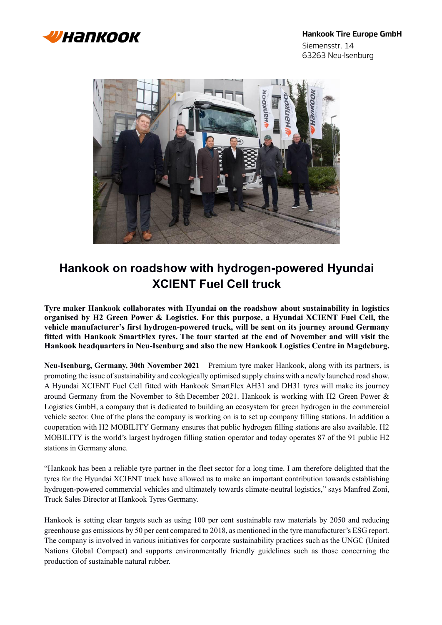

63263 Neu-Isenburg





## **Hankook on roadshow with hydrogen-powered Hyundai XCIENT Fuel Cell truck**

**Tyre maker Hankook collaborates with Hyundai on the roadshow about sustainability in logistics organised by H2 Green Power & Logistics. For this purpose, a Hyundai XCIENT Fuel Cell, the vehicle manufacturer's first hydrogen-powered truck, will be sent on its journey around Germany fitted with Hankook SmartFlex tyres. The tour started at the end of November and will visit the Hankook headquarters in Neu-Isenburg and also the new Hankook Logistics Centre in Magdeburg.**

**Neu-Isenburg, Germany, 30th November 2021** – Premium tyre maker Hankook, along with its partners, is promoting the issue of sustainability and ecologically optimised supply chains with a newly launched road show. A Hyundai XCIENT Fuel Cell fitted with Hankook SmartFlex AH31 and DH31 tyres will make its journey around Germany from the November to 8th December 2021. Hankook is working with H2 Green Power & Logistics GmbH, a company that is dedicated to building an ecosystem for green hydrogen in the commercial vehicle sector. One of the plans the company is working on is to set up company filling stations. In addition a cooperation with H2 MOBILITY Germany ensures that public hydrogen filling stations are also available. H2 MOBILITY is the world's largest hydrogen filling station operator and today operates 87 of the 91 public H2 stations in Germany alone.

"Hankook has been a reliable tyre partner in the fleet sector for a long time. I am therefore delighted that the tyres for the Hyundai XCIENT truck have allowed us to make an important contribution towards establishing hydrogen-powered commercial vehicles and ultimately towards climate-neutral logistics," says Manfred Zoni, Truck Sales Director at Hankook Tyres Germany.

Hankook is setting clear targets such as using 100 per cent sustainable raw materials by 2050 and reducing greenhouse gas emissions by 50 per cent compared to 2018, as mentioned in the tyre manufacturer's ESG report. The company is involved in various initiatives for corporate sustainability practices such as the UNGC (United Nations Global Compact) and supports environmentally friendly guidelines such as those concerning the production of sustainable natural rubber.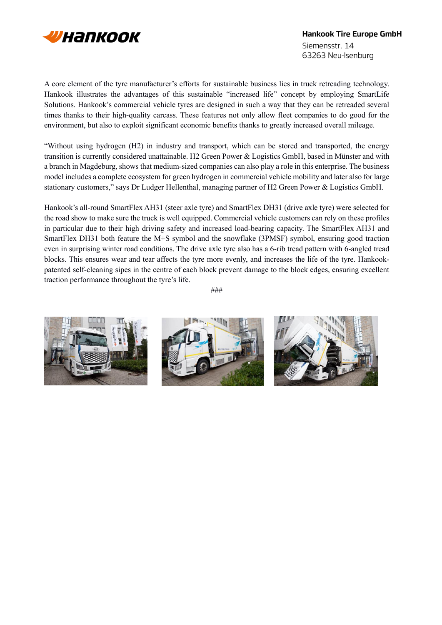

A core element of the tyre manufacturer's efforts for sustainable business lies in truck retreading technology. Hankook illustrates the advantages of this sustainable "increased life" concept by employing SmartLife Solutions. Hankook's commercial vehicle tyres are designed in such a way that they can be retreaded several times thanks to their high-quality carcass. These features not only allow fleet companies to do good for the environment, but also to exploit significant economic benefits thanks to greatly increased overall mileage.

"Without using hydrogen (H2) in industry and transport, which can be stored and transported, the energy transition is currently considered unattainable. H2 Green Power & Logistics GmbH, based in Münster and with a branch in Magdeburg, shows that medium-sized companies can also play a role in this enterprise. The business model includes a complete ecosystem for green hydrogen in commercial vehicle mobility and later also for large stationary customers," says Dr Ludger Hellenthal, managing partner of H2 Green Power & Logistics GmbH.

Hankook's all-round SmartFlex AH31 (steer axle tyre) and SmartFlex DH31 (drive axle tyre) were selected for the road show to make sure the truck is well equipped. Commercial vehicle customers can rely on these profiles in particular due to their high driving safety and increased load-bearing capacity. The SmartFlex AH31 and SmartFlex DH31 both feature the M+S symbol and the snowflake (3PMSF) symbol, ensuring good traction even in surprising winter road conditions. The drive axle tyre also has a 6-rib tread pattern with 6-angled tread blocks. This ensures wear and tear affects the tyre more evenly, and increases the life of the tyre. Hankookpatented self-cleaning sipes in the centre of each block prevent damage to the block edges, ensuring excellent traction performance throughout the tyre's life.

```
###
```